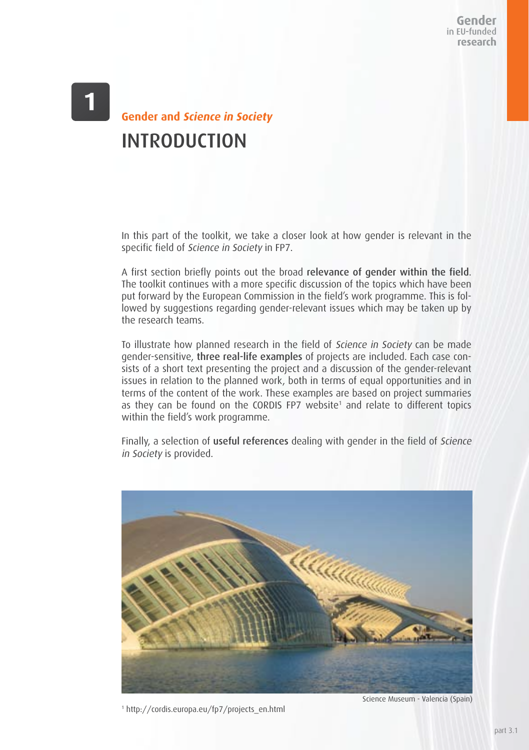Gender in EU-funded research

## **Gender and Science in Society** INTRODUCTION

In this part of the toolkit, we take a closer look at how gender is relevant in the specific field of Science in Society in FP7.

A first section briefly points out the broad relevance of gender within the field. The toolkit continues with a more specific discussion of the topics which have been put forward by the European Commission in the field's work programme. This is followed by suggestions regarding gender-relevant issues which may be taken up by the research teams.

To illustrate how planned research in the field of Science in Society can be made gender-sensitive, three real-life examples of projects are included. Each case consists of a short text presenting the project and a discussion of the gender-relevant issues in relation to the planned work, both in terms of equal opportunities and in terms of the content of the work. These examples are based on project summaries as they can be found on the CORDIS FP7 website<sup>1</sup> and relate to different topics within the field's work programme.

Finally, a selection of useful references dealing with gender in the field of Science in Society is provided.



1 http://cordis.europa.eu/fp7/projects\_en.html

Science Museum - Valencia (Spain)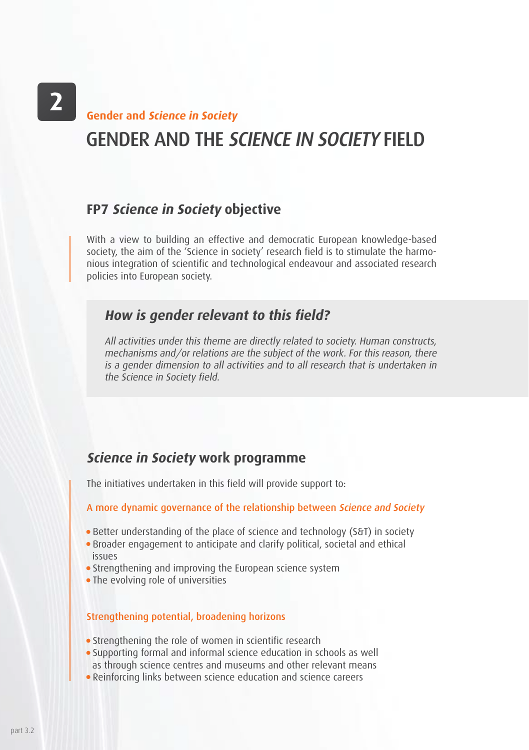## GENDER AND THE SCIENCE IN SOCIETY FIELD **Gender and Science in Society**

### **FP7 Science in Society objective**

With a view to building an effective and democratic European knowledge-based society, the aim of the 'Science in society' research field is to stimulate the harmonious integration of scientific and technological endeavour and associated research policies into European society.

### **How is gender relevant to this field?**

All activities under this theme are directly related to society. Human constructs, mechanisms and/or relations are the subject of the work. For this reason, there is a gender dimension to all activities and to all research that is undertaken in the Science in Society field.

## **Science in Society work programme**

The initiatives undertaken in this field will provide support to:

### A more dynamic governance of the relationship between Science and Society

- Better understanding of the place of science and technology (S&T) in society
- Broader engagement to anticipate and clarify political, societal and ethical issues
- Strengthening and improving the European science system
- The evolving role of universities

### Strengthening potential, broadening horizons

- Strengthening the role of women in scientific research
- Supporting formal and informal science education in schools as well as through science centres and museums and other relevant means
- Reinforcing links between science education and science careers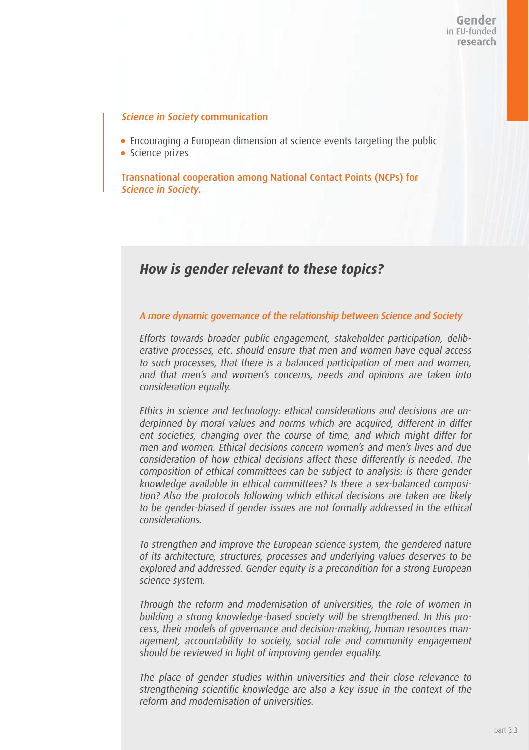#### Science in Society communication

- Encouraging a European dimension at science events targeting the public
- **Science prizes**

Transnational cooperation among National Contact Points (NCPs) for Science in Society.

### **How is gender relevant to these topics?**

#### A more dynamic governance of the relationship between Science and Society

Efforts towards broader public engagement, stakeholder participation, deliberative processes, etc. should ensure that men and women have equal access to such processes, that there is a balanced participation of men and women, and that men's and women's concerns, needs and opinions are taken into consideration equally.

Ethics in science and technology: ethical considerations and decisions are underpinned by moral values and norms which are acquired, different in differ ent societies, changing over the course of time, and which might differ for men and women. Ethical decisions concern women's and men's lives and due consideration of how ethical decisions affect these differently is needed. The composition of ethical committees can be subject to analysis: is there gender knowledge available in ethical committees? Is there a sex-balanced composition? Also the protocols following which ethical decisions are taken are likely to be gender-biased if gender issues are not formally addressed in the ethical considerations.

To strengthen and improve the European science system, the gendered nature of its architecture, structures, processes and underlying values deserves to be explored and addressed. Gender equity is a precondition for a strong European science system.

Through the reform and modernisation of universities, the role of women in building a strong knowledge-based society will be strengthened. In this process, their models of governance and decision-making, human resources management, accountability to society, social role and community engagement should be reviewed in light of improving gender equality.

The place of gender studies within universities and their close relevance to strengthening scientific knowledge are also a key issue in the context of the reform and modernisation of universities.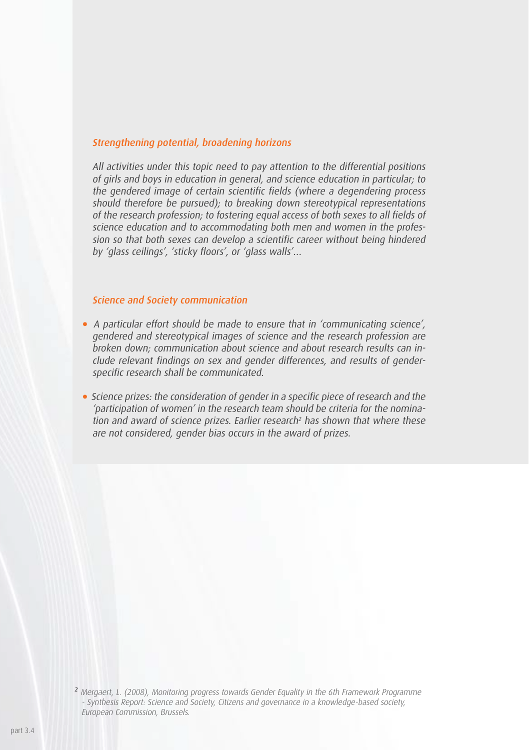#### Strengthening potential, broadening horizons

All activities under this topic need to pay attention to the differential positions of girls and boys in education in general, and science education in particular; to the gendered image of certain scientific fields (where a degendering process should therefore be pursued); to breaking down stereotypical representations of the research profession; to fostering equal access of both sexes to all fields of science education and to accommodating both men and women in the profession so that both sexes can develop a scientific career without being hindered by 'glass ceilings', 'sticky floors', or 'glass walls'…

#### Science and Society communication

- A particular effort should be made to ensure that in 'communicating science', gendered and stereotypical images of science and the research profession are broken down; communication about science and about research results can include relevant findings on sex and gender differences, and results of genderspecific research shall be communicated.
- Science prizes: the consideration of gender in a specific piece of research and the 'participation of women' in the research team should be criteria for the nomination and award of science prizes. Earlier research<sup>2</sup> has shown that where these are not considered, gender bias occurs in the award of prizes.

<sup>&</sup>lt;sup>2</sup> Mergaert, L. (2008), Monitoring progress towards Gender Equality in the 6th Framework Programme - Synthesis Report: Science and Society, Citizens and governance in a knowledge-based society, European Commission, Brussels.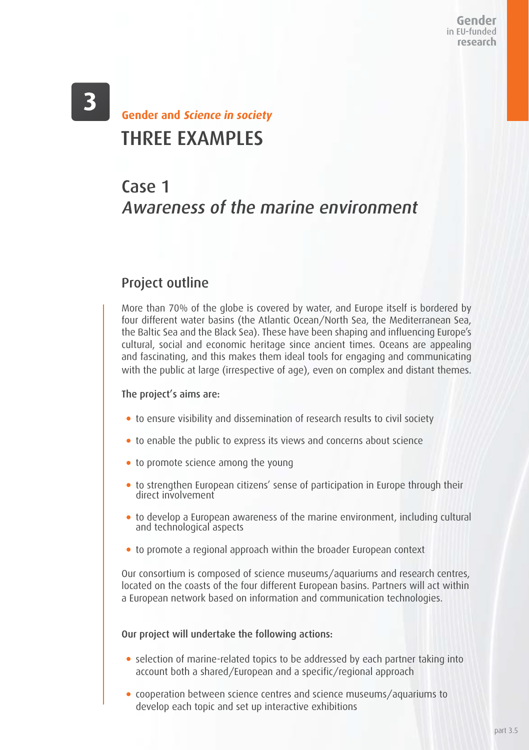Gender in EU-funded research

# $\overline{\mathbf{3}}$

## THREE EXAMPLES **Gender and Science in society**

## Case 1 Awareness of the marine environment

## Project outline

More than 70% of the globe is covered by water, and Europe itself is bordered by four different water basins (the Atlantic Ocean/North Sea, the Mediterranean Sea, the Baltic Sea and the Black Sea). These have been shaping and influencing Europe's cultural, social and economic heritage since ancient times. Oceans are appealing and fascinating, and this makes them ideal tools for engaging and communicating with the public at large (irrespective of age), even on complex and distant themes.

#### The project's aims are:

- to ensure visibility and dissemination of research results to civil society
- to enable the public to express its views and concerns about science
- to promote science among the young
- to strengthen European citizens' sense of participation in Europe through their direct involvement
- to develop a European awareness of the marine environment, including cultural and technological aspects
- to promote a regional approach within the broader European context

Our consortium is composed of science museums/aquariums and research centres, located on the coasts of the four different European basins. Partners will act within a European network based on information and communication technologies.

#### Our project will undertake the following actions:

- selection of marine-related topics to be addressed by each partner taking into account both a shared/European and a specific/regional approach
- cooperation between science centres and science museums/aquariums to develop each topic and set up interactive exhibitions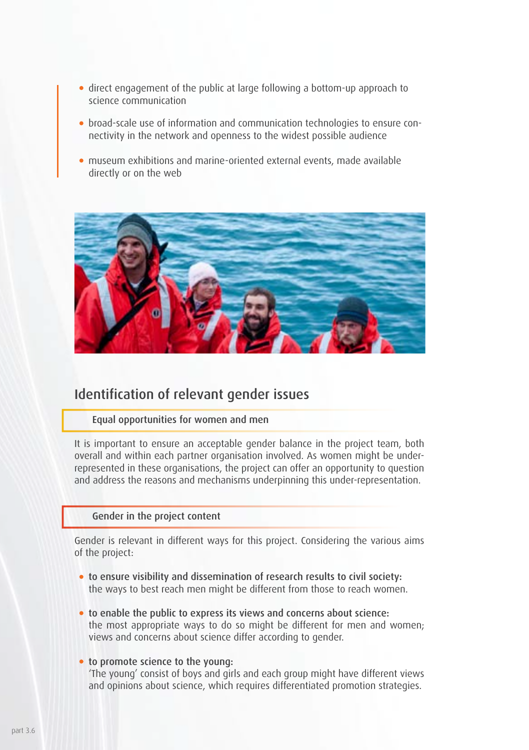- direct engagement of the public at large following a bottom-up approach to science communication
- broad-scale use of information and communication technologies to ensure connectivity in the network and openness to the widest possible audience
- museum exhibitions and marine-oriented external events, made available directly or on the web



### Identification of relevant gender issues

#### Equal opportunities for women and men

It is important to ensure an acceptable gender balance in the project team, both overall and within each partner organisation involved. As women might be underrepresented in these organisations, the project can offer an opportunity to question and address the reasons and mechanisms underpinning this under-representation.

#### Gender in the project content

Gender is relevant in different ways for this project. Considering the various aims of the project:

- to ensure visibility and dissemination of research results to civil society: the ways to best reach men might be different from those to reach women.
- to enable the public to express its views and concerns about science: the most appropriate ways to do so might be different for men and women; views and concerns about science differ according to gender.

#### to promote science to the young:

'The young' consist of boys and girls and each group might have different views and opinions about science, which requires differentiated promotion strategies.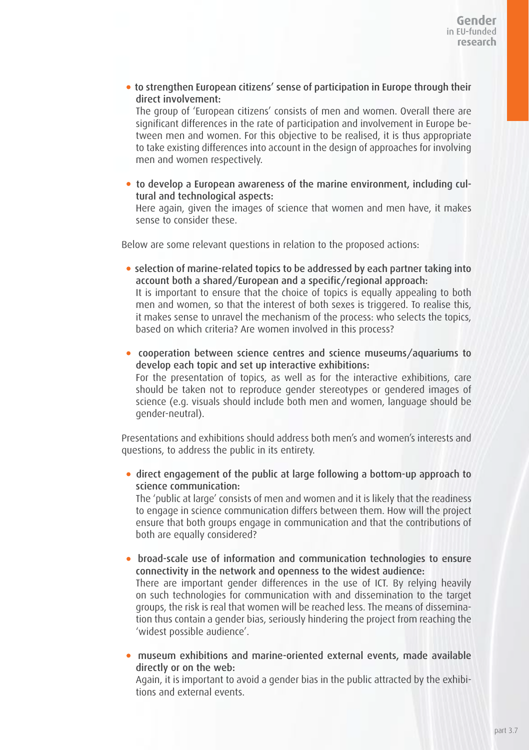to strengthen European citizens' sense of participation in Europe through their direct involvement:

The group of 'European citizens' consists of men and women. Overall there are significant differences in the rate of participation and involvement in Europe between men and women. For this objective to be realised, it is thus appropriate to take existing differences into account in the design of approaches for involving men and women respectively.

 to develop a European awareness of the marine environment, including cultural and technological aspects:

Here again, given the images of science that women and men have, it makes sense to consider these.

Below are some relevant questions in relation to the proposed actions:

- selection of marine-related topics to be addressed by each partner taking into account both a shared/European and a specific/regional approach: It is important to ensure that the choice of topics is equally appealing to both men and women, so that the interest of both sexes is triggered. To realise this, it makes sense to unravel the mechanism of the process: who selects the topics, based on which criteria? Are women involved in this process?
- cooperation between science centres and science museums/aquariums to develop each topic and set up interactive exhibitions: For the presentation of topics, as well as for the interactive exhibitions, care should be taken not to reproduce gender stereotypes or gendered images of science (e.g. visuals should include both men and women, language should be gender-neutral).

Presentations and exhibitions should address both men's and women's interests and questions, to address the public in its entirety.

 direct engagement of the public at large following a bottom-up approach to science communication:

The 'public at large' consists of men and women and it is likely that the readiness to engage in science communication differs between them. How will the project ensure that both groups engage in communication and that the contributions of both are equally considered?

 broad-scale use of information and communication technologies to ensure connectivity in the network and openness to the widest audience: There are important gender differences in the use of ICT. By relying heavily

on such technologies for communication with and dissemination to the target groups, the risk is real that women will be reached less. The means of dissemination thus contain a gender bias, seriously hindering the project from reaching the 'widest possible audience'.

 museum exhibitions and marine-oriented external events, made available directly or on the web:

Again, it is important to avoid a gender bias in the public attracted by the exhibitions and external events.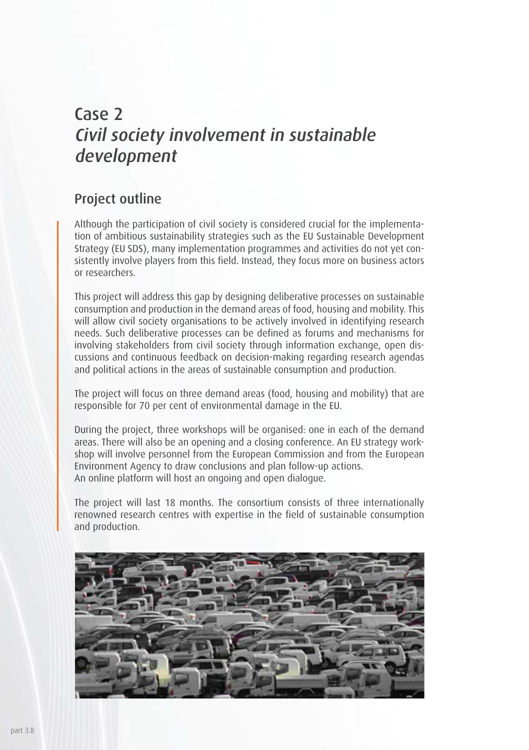## Case 2 Civil society involvement in sustainable development

### Project outline

Although the participation of civil society is considered crucial for the implementation of ambitious sustainability strategies such as the EU Sustainable Development Strategy (EU SDS), many implementation programmes and activities do not yet consistently involve players from this field. Instead, they focus more on business actors or researchers.

This project will address this gap by designing deliberative processes on sustainable consumption and production in the demand areas of food, housing and mobility. This will allow civil society organisations to be actively involved in identifying research needs. Such deliberative processes can be defined as forums and mechanisms for involving stakeholders from civil society through information exchange, open discussions and continuous feedback on decision-making regarding research agendas and political actions in the areas of sustainable consumption and production.

The project will focus on three demand areas (food, housing and mobility) that are responsible for 70 per cent of environmental damage in the EU.

During the project, three workshops will be organised: one in each of the demand areas. There will also be an opening and a closing conference. An EU strategy workshop will involve personnel from the European Commission and from the European Environment Agency to draw conclusions and plan follow-up actions. An online platform will host an ongoing and open dialogue.

The project will last 18 months. The consortium consists of three internationally renowned research centres with expertise in the field of sustainable consumption and production.

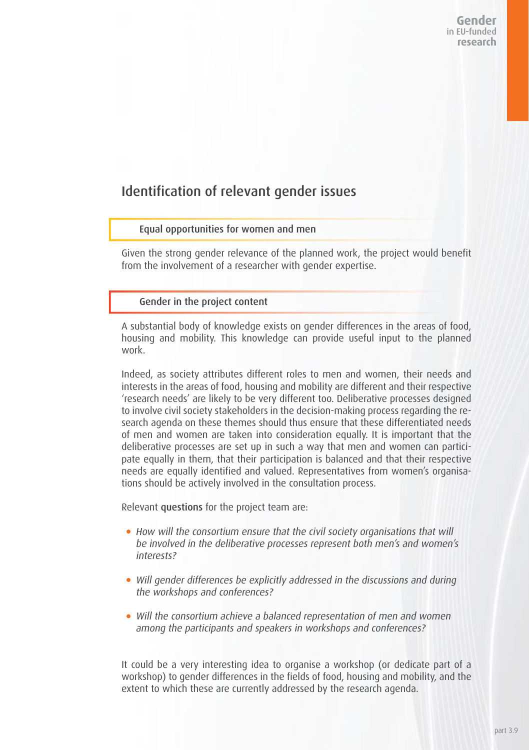### Identification of relevant gender issues

#### Equal opportunities for women and men

Given the strong gender relevance of the planned work, the project would benefit from the involvement of a researcher with gender expertise.

#### Gender in the project content

A substantial body of knowledge exists on gender differences in the areas of food, housing and mobility. This knowledge can provide useful input to the planned work.

Indeed, as society attributes different roles to men and women, their needs and interests in the areas of food, housing and mobility are different and their respective 'research needs' are likely to be very different too. Deliberative processes designed to involve civil society stakeholders in the decision-making process regarding the research agenda on these themes should thus ensure that these differentiated needs of men and women are taken into consideration equally. It is important that the deliberative processes are set up in such a way that men and women can participate equally in them, that their participation is balanced and that their respective needs are equally identified and valued. Representatives from women's organisations should be actively involved in the consultation process.

Relevant questions for the project team are:

- How will the consortium ensure that the civil society organisations that will be involved in the deliberative processes represent both men's and women's interests?
- Will gender differences be explicitly addressed in the discussions and during the workshops and conferences?
- Will the consortium achieve a balanced representation of men and women among the participants and speakers in workshops and conferences?

It could be a very interesting idea to organise a workshop (or dedicate part of a workshop) to gender differences in the fields of food, housing and mobility, and the extent to which these are currently addressed by the research agenda.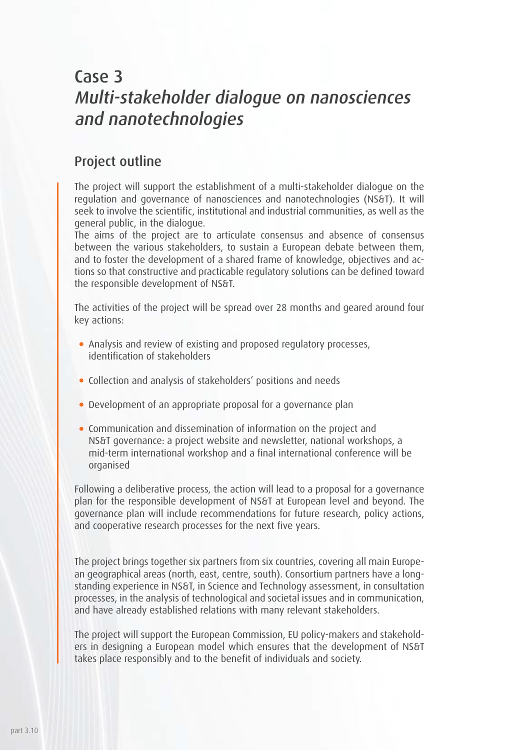## Case 3 Multi-stakeholder dialogue on nanosciences and nanotechnologies

### Project outline

The project will support the establishment of a multi-stakeholder dialogue on the regulation and governance of nanosciences and nanotechnologies (NS&T). It will seek to involve the scientific, institutional and industrial communities, as well as the general public, in the dialogue.

The aims of the project are to articulate consensus and absence of consensus between the various stakeholders, to sustain a European debate between them, and to foster the development of a shared frame of knowledge, objectives and actions so that constructive and practicable regulatory solutions can be defined toward the responsible development of NS&T.

The activities of the project will be spread over 28 months and geared around four key actions:

- Analysis and review of existing and proposed regulatory processes, identification of stakeholders
- Collection and analysis of stakeholders' positions and needs
- Development of an appropriate proposal for a governance plan
- Communication and dissemination of information on the project and NS&T governance: a project website and newsletter, national workshops, a mid-term international workshop and a final international conference will be organised

Following a deliberative process, the action will lead to a proposal for a governance plan for the responsible development of NS&T at European level and beyond. The governance plan will include recommendations for future research, policy actions, and cooperative research processes for the next five years.

The project brings together six partners from six countries, covering all main European geographical areas (north, east, centre, south). Consortium partners have a longstanding experience in NS&T, in Science and Technology assessment, in consultation processes, in the analysis of technological and societal issues and in communication, and have already established relations with many relevant stakeholders.

The project will support the European Commission, EU policy-makers and stakeholders in designing a European model which ensures that the development of NS&T takes place responsibly and to the benefit of individuals and society.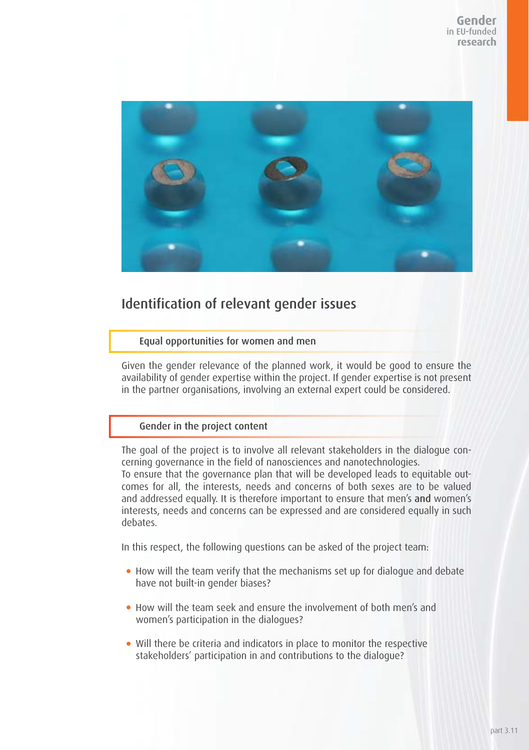

## Identification of relevant gender issues

#### Equal opportunities for women and men

Given the gender relevance of the planned work, it would be good to ensure the availability of gender expertise within the project. If gender expertise is not present in the partner organisations, involving an external expert could be considered.

#### Gender in the project content

The goal of the project is to involve all relevant stakeholders in the dialogue concerning governance in the field of nanosciences and nanotechnologies. To ensure that the governance plan that will be developed leads to equitable outcomes for all, the interests, needs and concerns of both sexes are to be valued and addressed equally. It is therefore important to ensure that men's and women's interests, needs and concerns can be expressed and are considered equally in such debates<sup>1</sup>

In this respect, the following questions can be asked of the project team:

- How will the team verify that the mechanisms set up for dialogue and debate have not built-in gender biases?
- How will the team seek and ensure the involvement of both men's and women's participation in the dialogues?
- Will there be criteria and indicators in place to monitor the respective stakeholders' participation in and contributions to the dialogue?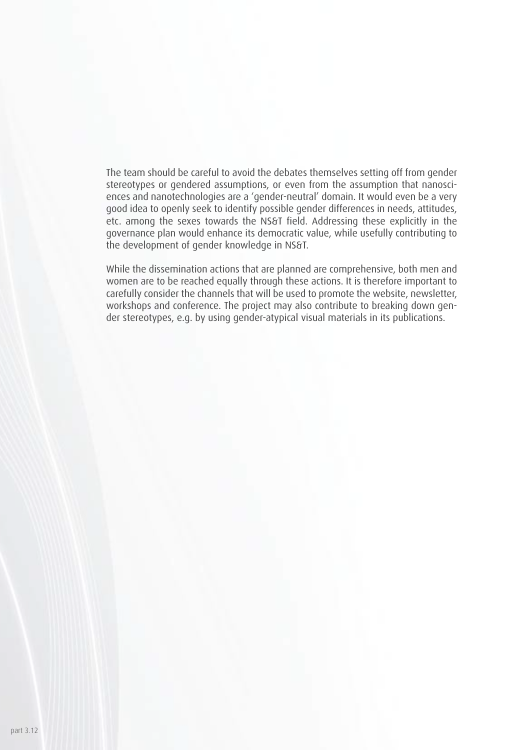The team should be careful to avoid the debates themselves setting off from gender stereotypes or gendered assumptions, or even from the assumption that nanosciences and nanotechnologies are a 'gender-neutral' domain. It would even be a very good idea to openly seek to identify possible gender differences in needs, attitudes, etc. among the sexes towards the NS&T field. Addressing these explicitly in the governance plan would enhance its democratic value, while usefully contributing to the development of gender knowledge in NS&T.

While the dissemination actions that are planned are comprehensive, both men and women are to be reached equally through these actions. It is therefore important to carefully consider the channels that will be used to promote the website, newsletter, workshops and conference. The project may also contribute to breaking down gender stereotypes, e.g. by using gender-atypical visual materials in its publications.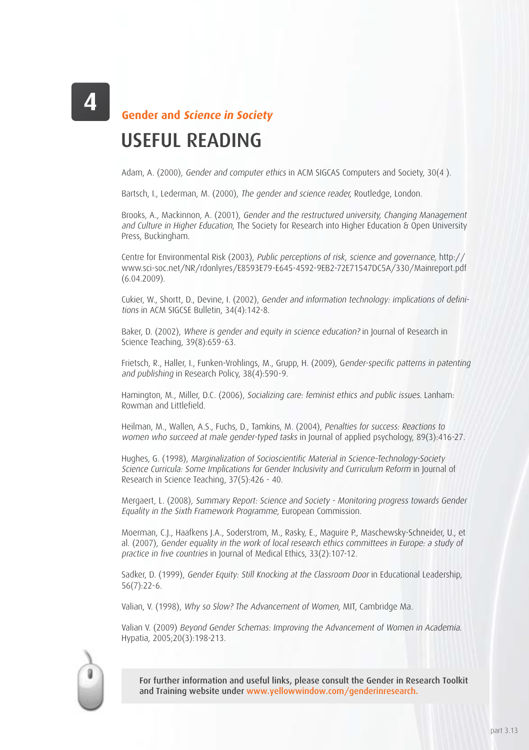**Gender and Science in Society**

## USEFUL READING

Adam, A. (2000), Gender and computer ethics in ACM SIGCAS Computers and Society, 30(4 ).

Bartsch, I., Lederman, M. (2000), The gender and science reader, Routledge, London.

Brooks, A., Mackinnon, A. (2001), Gender and the restructured university, Changing Management and Culture in Higher Education, The Society for Research into Higher Education & Open University Press, Buckingham.

Centre for Environmental Risk (2003), Public perceptions of risk, science and governance, http:// www.sci-soc.net/NR/rdonlyres/E8593E79-E645-4592-9EB2-72E71547DC5A/330/Mainreport.pdf (6.04.2009).

Cukier, W., Shortt, D., Devine, I. (2002), Gender and information technology: implications of definitions in ACM SIGCSE Bulletin, 34(4):142-8.

Baker, D. (2002), Where is gender and equity in science education? in Journal of Research in Science Teaching, 39(8):659-63.

Frietsch, R., Haller, I., Funken-Vrohlings, M., Grupp, H. (2009), Gender-specific patterns in patenting and publishing in Research Policy, 38(4):590-9.

Hamington, M., Miller, D.C. (2006), Socializing care: feminist ethics and public issues. Lanham: Rowman and Littlefield.

Heilman, M., Wallen, A.S., Fuchs, D., Tamkins, M. (2004), Penalties for success: Reactions to women who succeed at male gender-typed tasks in Journal of applied psychology, 89(3):416-27.

Hughes, G. (1998), Marginalization of Socioscientific Material in Science-Technology-Society Science Curricula: Some Implications for Gender Inclusivity and Curriculum Reform in Journal of Research in Science Teaching, 37(5):426 - 40.

Mergaert, L. (2008), Summary Report: Science and Society - Monitoring progress towards Gender Equality in the Sixth Framework Programme, European Commission.

Moerman, C.J., Haafkens J.A., Soderstrom, M., Rasky, E., Maguire P., Maschewsky-Schneider, U., et al. (2007), Gender equality in the work of local research ethics committees in Europe: a study of practice in five countries in Journal of Medical Ethics, 33(2):107-12.

Sadker, D. (1999), Gender Fauity: Still Knocking at the Classroom Door in Educational Leadership. 56(7):22-6.

Valian, V. (1998), Why so Slow? The Advancement of Women, MIT, Cambridge Ma.

Valian V. (2009) Beyond Gender Schemas: Improving the Advancement of Women in Academia. Hypatia, 2005;20(3):198-213.



For further information and useful links, please consult the Gender in Research Toolkit and Training website under www.yellowwindow.com/genderinresearch.